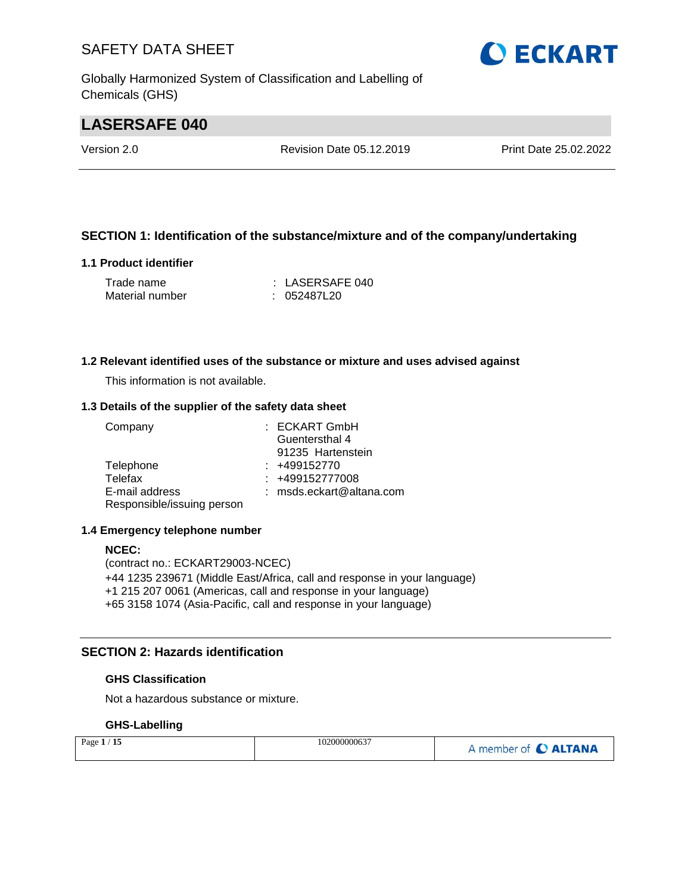Globally Harmonized System of Classification and Labelling of Chemicals (GHS)

## **LASERSAFE 040**

Version 2.0 Revision Date 05.12.2019 Print Date 25.02.2022

#### **SECTION 1: Identification of the substance/mixture and of the company/undertaking**

#### **1.1 Product identifier**

| Trade name      | $\pm$ LASERSAFE 040 |
|-----------------|---------------------|
| Material number | : 052487L20         |

#### **1.2 Relevant identified uses of the substance or mixture and uses advised against**

This information is not available.

#### **1.3 Details of the supplier of the safety data sheet**

| Company                    | : ECKART GmbH              |
|----------------------------|----------------------------|
|                            | Guentersthal 4             |
|                            | 91235 Hartenstein          |
| Telephone                  | $: +499152770$             |
| Telefax                    | $: +499152777008$          |
| E-mail address             | $:$ msds.eckart@altana.com |
| Responsible/issuing person |                            |

#### **1.4 Emergency telephone number**

#### **NCEC:**

(contract no.: ECKART29003-NCEC) +44 1235 239671 (Middle East/Africa, call and response in your language) +1 215 207 0061 (Americas, call and response in your language) +65 3158 1074 (Asia-Pacific, call and response in your language)

#### **SECTION 2: Hazards identification**

#### **GHS Classification**

Not a hazardous substance or mixture.

#### **GHS-Labelling**

| Page $1/15$ | 102000000637 | A member of C ALTANA |
|-------------|--------------|----------------------|
|-------------|--------------|----------------------|

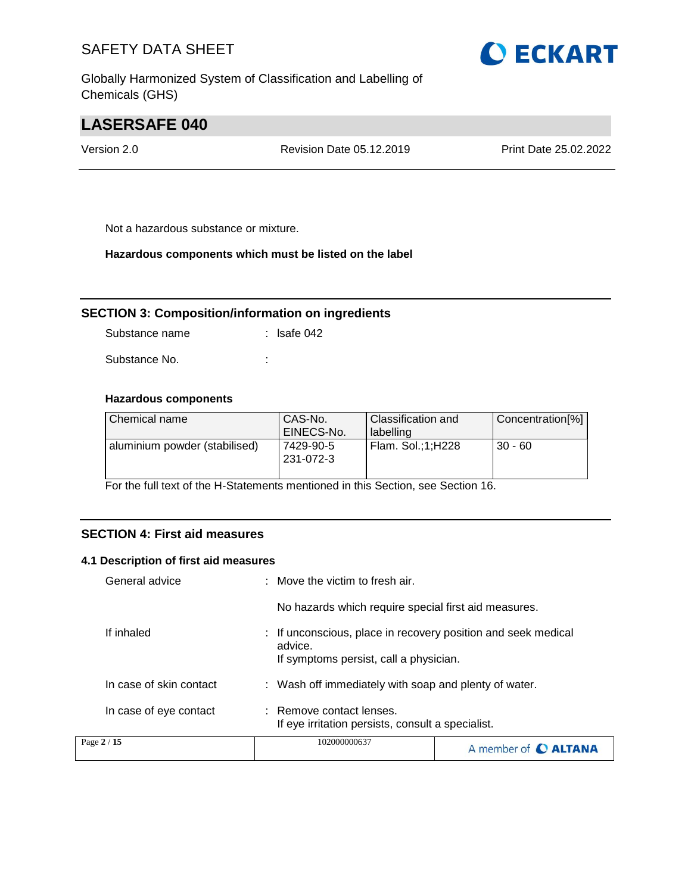Globally Harmonized System of Classification and Labelling of Chemicals (GHS)



## **LASERSAFE 040**

Version 2.0 Revision Date 05.12.2019 Print Date 25.02.2022

Not a hazardous substance or mixture.

#### **Hazardous components which must be listed on the label**

#### **SECTION 3: Composition/information on ingredients**

Substance name : lsafe 042

Substance No. **:** :

#### **Hazardous components**

| Chemical name                 | CAS-No.<br>EINECS-No.  | Classification and<br>labelling | Concentration[%] |
|-------------------------------|------------------------|---------------------------------|------------------|
| aluminium powder (stabilised) | 7429-90-5<br>231-072-3 | Flam. Sol.;1;H228               | $30 - 60$        |

For the full text of the H-Statements mentioned in this Section, see Section 16.

#### **SECTION 4: First aid measures**

#### **4.1 Description of first aid measures**

| Page 2 / 15             | 102000000637                                                                                                       | A member of <b>C ALTANA</b> |  |
|-------------------------|--------------------------------------------------------------------------------------------------------------------|-----------------------------|--|
| In case of eye contact  | : Remove contact lenses.<br>If eye irritation persists, consult a specialist.                                      |                             |  |
| In case of skin contact | : Wash off immediately with soap and plenty of water.                                                              |                             |  |
| If inhaled              | : If unconscious, place in recovery position and seek medical<br>advice.<br>If symptoms persist, call a physician. |                             |  |
|                         | No hazards which require special first aid measures.                                                               |                             |  |
| General advice          | $\pm$ Move the victim to fresh air.                                                                                |                             |  |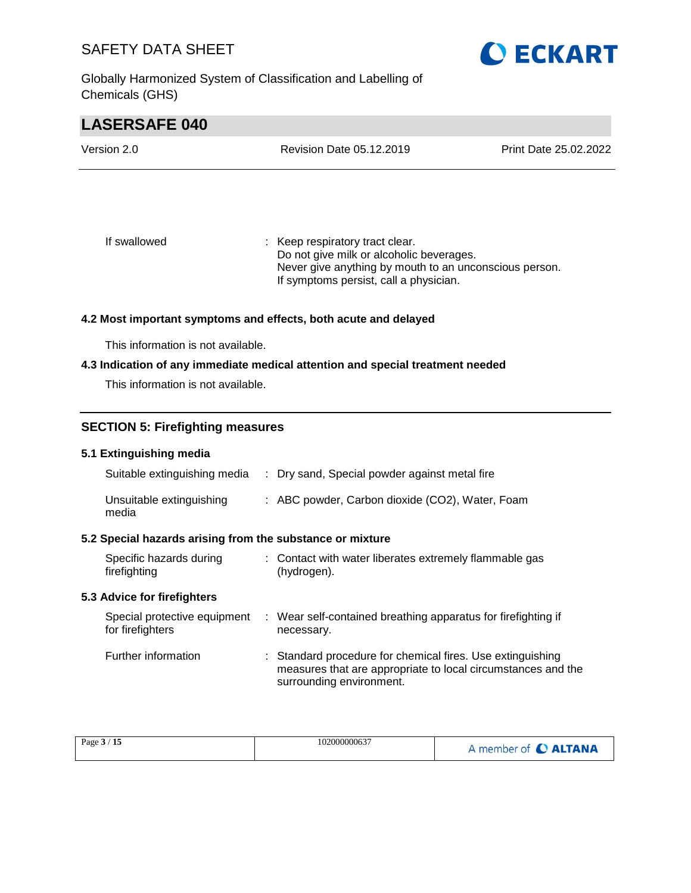Globally Harmonized System of Classification and Labelling of Chemicals (GHS)



## **LASERSAFE 040**

| Version 2.0  | Revision Date 05.12.2019        | Print Date 25.02.2022 |
|--------------|---------------------------------|-----------------------|
|              |                                 |                       |
|              |                                 |                       |
| If swallowed | : Keep respiratory tract clear. |                       |

Do not give milk or alcoholic beverages. Never give anything by mouth to an unconscious person. If symptoms persist, call a physician.

#### **4.2 Most important symptoms and effects, both acute and delayed**

This information is not available.

#### **4.3 Indication of any immediate medical attention and special treatment needed**

This information is not available.

#### **SECTION 5: Firefighting measures**

#### **5.1 Extinguishing media**

| Suitable extinguishing media                              | : Dry sand, Special powder against metal fire                         |
|-----------------------------------------------------------|-----------------------------------------------------------------------|
| Unsuitable extinguishing<br>media                         | : ABC powder, Carbon dioxide (CO2), Water, Foam                       |
| 5.2 Special hazards arising from the substance or mixture |                                                                       |
| Specific hazards during<br>firefighting                   | : Contact with water liberates extremely flammable gas<br>(hydrogen). |

#### **5.3 Advice for firefighters**

| Special protective equipment<br>for firefighters | : Wear self-contained breathing apparatus for firefighting if<br>necessary.                                                                            |
|--------------------------------------------------|--------------------------------------------------------------------------------------------------------------------------------------------------------|
| Further information                              | : Standard procedure for chemical fires. Use extinguishing<br>measures that are appropriate to local circumstances and the<br>surrounding environment. |

| Page $3/15$ | 102000000637 | A member of <b>C ALTANA</b> |
|-------------|--------------|-----------------------------|
|-------------|--------------|-----------------------------|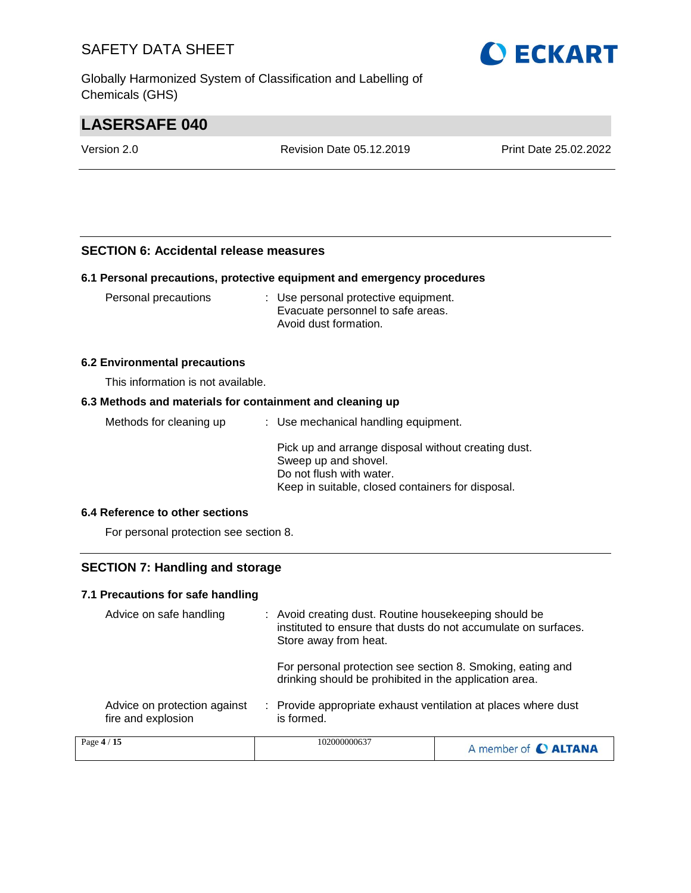Globally Harmonized System of Classification and Labelling of Chemicals (GHS)



## **LASERSAFE 040**

Version 2.0 Revision Date 05.12.2019 Print Date 25.02.2022

#### **SECTION 6: Accidental release measures**

#### **6.1 Personal precautions, protective equipment and emergency procedures**

| Personal precautions | : Use personal protective equipment.<br>Evacuate personnel to safe areas. |
|----------------------|---------------------------------------------------------------------------|
|                      | Avoid dust formation.                                                     |

#### **6.2 Environmental precautions**

This information is not available.

#### **6.3 Methods and materials for containment and cleaning up**

| Methods for cleaning up       | : Use mechanical handling equipment.                                                                                                                         |
|-------------------------------|--------------------------------------------------------------------------------------------------------------------------------------------------------------|
|                               | Pick up and arrange disposal without creating dust.<br>Sweep up and shovel.<br>Do not flush with water.<br>Keep in suitable, closed containers for disposal. |
| A Reference to other cections |                                                                                                                                                              |

#### **6.4 Reference to other sections**

For personal protection see section 8.

#### **SECTION 7: Handling and storage**

#### **7.1 Precautions for safe handling**

| Advice on safe handling                            | : Avoid creating dust. Routine housekeeping should be<br>instituted to ensure that dusts do not accumulate on surfaces.<br>Store away from heat. |                      |
|----------------------------------------------------|--------------------------------------------------------------------------------------------------------------------------------------------------|----------------------|
|                                                    | For personal protection see section 8. Smoking, eating and<br>drinking should be prohibited in the application area.                             |                      |
| Advice on protection against<br>fire and explosion | : Provide appropriate exhaust ventilation at places where dust<br>is formed.                                                                     |                      |
| Page 4 / 15                                        | 102000000637                                                                                                                                     | A member of C ALTANA |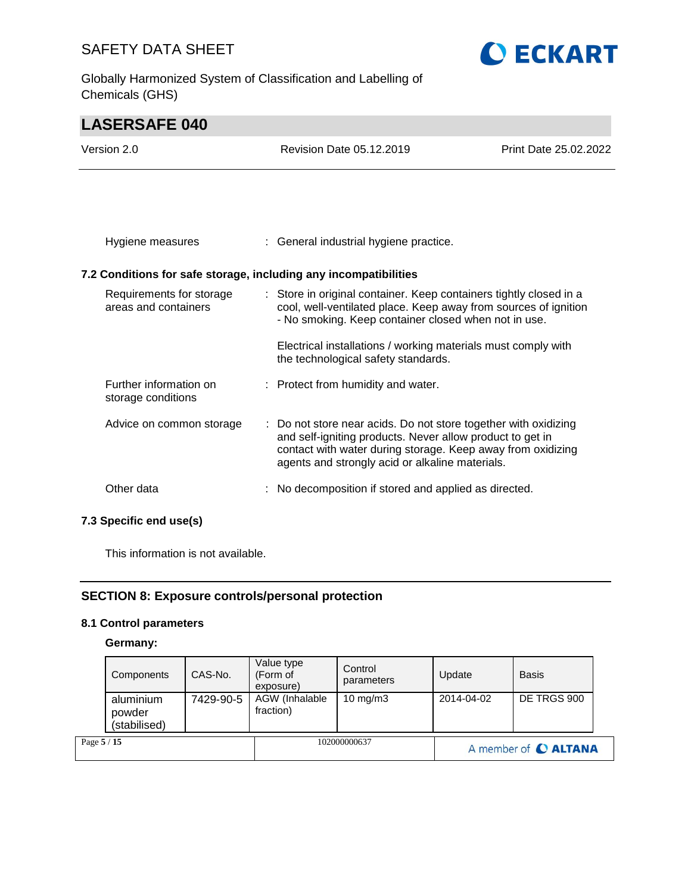Globally Harmonized System of Classification and Labelling of Chemicals (GHS)



## **LASERSAFE 040** Version 2.0 Revision Date 05.12.2019 Print Date 25.02.2022 Hygiene measures : General industrial hygiene practice. **7.2 Conditions for safe storage, including any incompatibilities** Requirements for storage areas and containers : Store in original container. Keep containers tightly closed in a cool, well-ventilated place. Keep away from sources of ignition - No smoking. Keep container closed when not in use. Electrical installations / working materials must comply with the technological safety standards. Further information on storage conditions : Protect from humidity and water. Advice on common storage : Do not store near acids. Do not store together with oxidizing and self-igniting products. Never allow product to get in contact with water during storage. Keep away from oxidizing

Other data : No decomposition if stored and applied as directed.

agents and strongly acid or alkaline materials.

#### **SECTION 8: Exposure controls/personal protection**

#### **8.1 Control parameters**

**7.3 Specific end use(s)**

This information is not available.

#### **Germany:**

| Page 5 / 15 |                                     |           | 102000000637                        |                       | A member of C ALTANA |              |  |
|-------------|-------------------------------------|-----------|-------------------------------------|-----------------------|----------------------|--------------|--|
|             | aluminium<br>powder<br>(stabilised) | 7429-90-5 | AGW (Inhalable<br>fraction)         | $10 \text{ mg/m}$     | 2014-04-02           | DE TRGS 900  |  |
|             | Components                          | CAS-No.   | Value type<br>(Form of<br>exposure) | Control<br>parameters | Update               | <b>Basis</b> |  |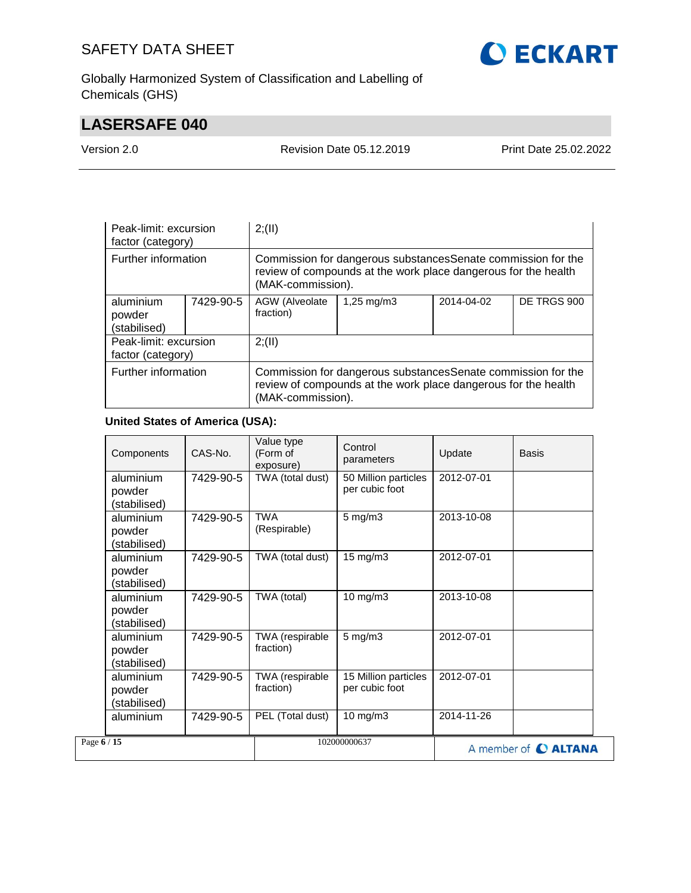

Globally Harmonized System of Classification and Labelling of Chemicals (GHS)

## **LASERSAFE 040**

Version 2.0 Revision Date 05.12.2019 Print Date 25.02.2022

| Peak-limit: excursion<br>factor (category) |           | 2; (II)                                                                                                                                              |                         |            |             |  |
|--------------------------------------------|-----------|------------------------------------------------------------------------------------------------------------------------------------------------------|-------------------------|------------|-------------|--|
| Further information                        |           | Commission for dangerous substances Senate commission for the<br>review of compounds at the work place dangerous for the health<br>(MAK-commission). |                         |            |             |  |
| aluminium<br>powder<br>(stabilised)        | 7429-90-5 | AGW (Alveolate<br>fraction)                                                                                                                          | $1,25 \,\mathrm{mq/m3}$ | 2014-04-02 | DE TRGS 900 |  |
| Peak-limit: excursion<br>factor (category) |           | 2; (II)                                                                                                                                              |                         |            |             |  |
| Further information                        |           | Commission for dangerous substances Senate commission for the<br>review of compounds at the work place dangerous for the health<br>(MAK-commission). |                         |            |             |  |

#### **United States of America (USA):**

| Components                          | CAS-No.   | Value type<br>(Form of<br>exposure) | Control<br>parameters                  | Update     | Basis                       |
|-------------------------------------|-----------|-------------------------------------|----------------------------------------|------------|-----------------------------|
| aluminium<br>powder<br>(stabilised) | 7429-90-5 | TWA (total dust)                    | 50 Million particles<br>per cubic foot | 2012-07-01 |                             |
| aluminium<br>powder<br>(stabilised) | 7429-90-5 | <b>TWA</b><br>(Respirable)          | $5$ mg/m $3$                           | 2013-10-08 |                             |
| aluminium<br>powder<br>(stabilised) | 7429-90-5 | TWA (total dust)                    | 15 mg/m3                               | 2012-07-01 |                             |
| aluminium<br>powder<br>(stabilised) | 7429-90-5 | TWA (total)                         | 10 mg/m3                               | 2013-10-08 |                             |
| aluminium<br>powder<br>(stabilised) | 7429-90-5 | TWA (respirable<br>fraction)        | $5$ mg/m $3$                           | 2012-07-01 |                             |
| aluminium<br>powder<br>(stabilised) | 7429-90-5 | TWA (respirable<br>fraction)        | 15 Million particles<br>per cubic foot | 2012-07-01 |                             |
| aluminium                           | 7429-90-5 | PEL (Total dust)                    | 10 mg/m3                               | 2014-11-26 |                             |
| Page 6 / 15                         |           |                                     | 102000000637                           |            | A member of <b>C ALTANA</b> |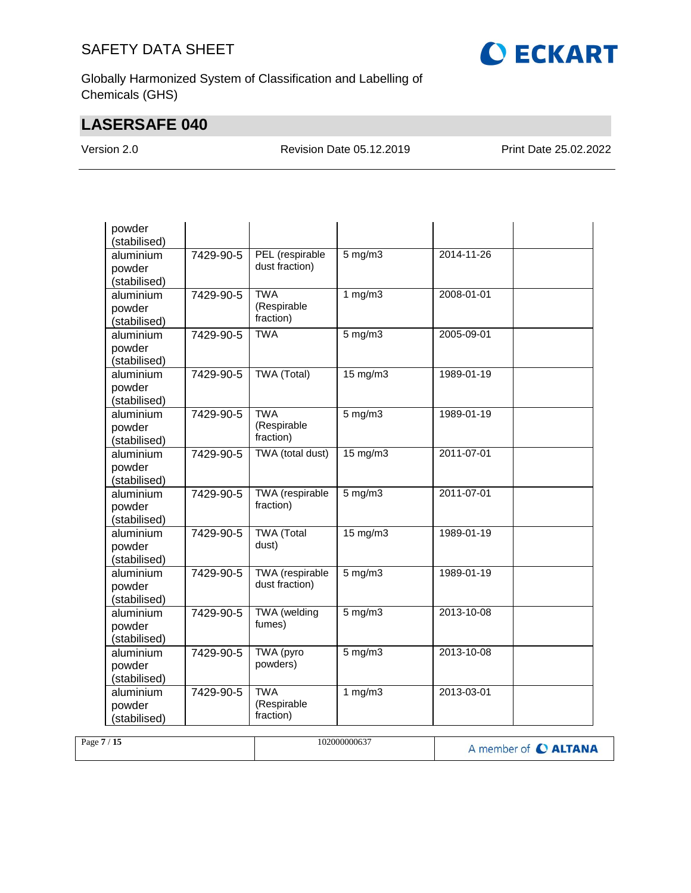

Globally Harmonized System of Classification and Labelling of Chemicals (GHS)

## **LASERSAFE 040**

Version 2.0 Revision Date 05.12.2019 Print Date 25.02.2022

| powder<br>(stabilised)              |           |                                        |                   |            |  |
|-------------------------------------|-----------|----------------------------------------|-------------------|------------|--|
| aluminium<br>powder<br>(stabilised) | 7429-90-5 | PEL (respirable<br>dust fraction)      | $5$ mg/m $3$      | 2014-11-26 |  |
| aluminium<br>powder<br>(stabilised) | 7429-90-5 | <b>TWA</b><br>(Respirable<br>fraction) | 1 mg/m3           | 2008-01-01 |  |
| aluminium<br>powder<br>(stabilised) | 7429-90-5 | <b>TWA</b>                             | $5$ mg/m $3$      | 2005-09-01 |  |
| aluminium<br>powder<br>(stabilised) | 7429-90-5 | TWA (Total)                            | 15 mg/m3          | 1989-01-19 |  |
| aluminium<br>powder<br>(stabilised) | 7429-90-5 | <b>TWA</b><br>(Respirable<br>fraction) | $5$ mg/m $3$      | 1989-01-19 |  |
| aluminium<br>powder<br>(stabilised) | 7429-90-5 | TWA (total dust)                       | $15 \text{ mg/m}$ | 2011-07-01 |  |
| aluminium<br>powder<br>(stabilised) | 7429-90-5 | <b>TWA</b> (respirable<br>fraction)    | $5$ mg/m $3$      | 2011-07-01 |  |
| aluminium<br>powder<br>(stabilised) | 7429-90-5 | <b>TWA</b> (Total<br>dust)             | $15 \text{ mg/m}$ | 1989-01-19 |  |
| aluminium<br>powder<br>(stabilised) | 7429-90-5 | TWA (respirable<br>dust fraction)      | $5 \text{ mg/m}$  | 1989-01-19 |  |
| aluminium<br>powder<br>(stabilised) | 7429-90-5 | <b>TWA</b> (welding<br>fumes)          | 5 mg/m3           | 2013-10-08 |  |
| aluminium<br>powder<br>(stabilised) | 7429-90-5 | TWA (pyro<br>powders)                  | $5$ mg/m $3$      | 2013-10-08 |  |
| aluminium<br>powder<br>(stabilised) | 7429-90-5 | <b>TWA</b><br>(Respirable<br>fraction) | 1 $mg/m3$         | 2013-03-01 |  |

| /15<br>Page 7 | 102000000637 | A member of <b>C ALTANA</b> |
|---------------|--------------|-----------------------------|
|---------------|--------------|-----------------------------|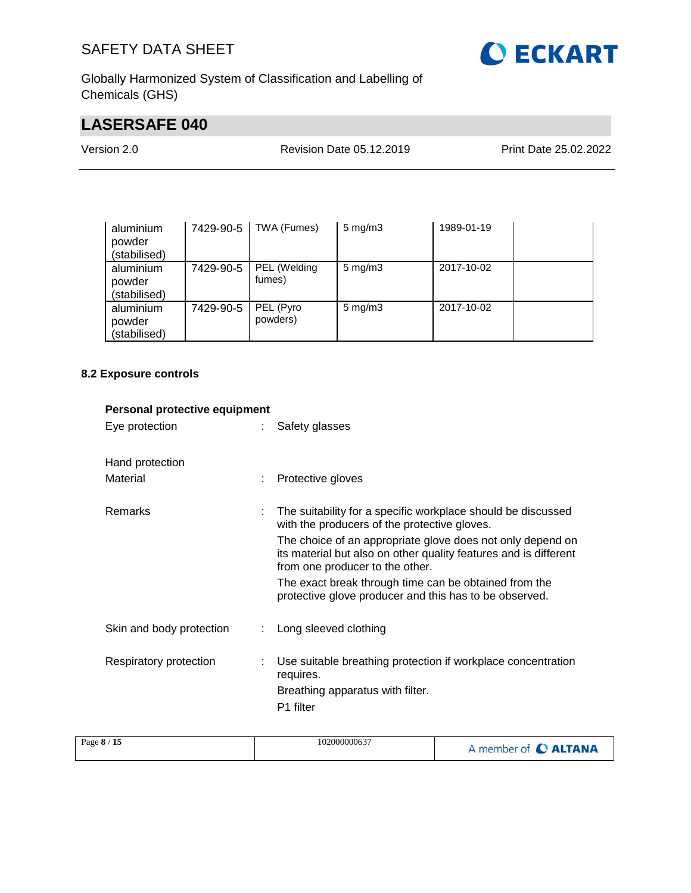

Globally Harmonized System of Classification and Labelling of Chemicals (GHS)

## **LASERSAFE 040**

| Version 2.0 | <b>Revision Date 05.12.2019</b> | Print Date 25.02.2022 |
|-------------|---------------------------------|-----------------------|
|             |                                 |                       |

| aluminium<br>powder<br>(stabilised) | 7429-90-5 | TWA (Fumes)            | $5 \text{ mg/m}$ 3 | 1989-01-19 |  |
|-------------------------------------|-----------|------------------------|--------------------|------------|--|
| aluminium<br>powder<br>(stabilised) | 7429-90-5 | PEL (Welding<br>fumes) | $5 \text{ mg/m}$   | 2017-10-02 |  |
| aluminium<br>powder<br>(stabilised) | 7429-90-5 | PEL (Pyro<br>powders)  | $5 \text{ mg/m}$ 3 | 2017-10-02 |  |

## **8.2 Exposure controls**

| Personal protective equipment |                                                                                                                                                                   |
|-------------------------------|-------------------------------------------------------------------------------------------------------------------------------------------------------------------|
| Eye protection                | Safety glasses                                                                                                                                                    |
| Hand protection<br>Material   | Protective gloves                                                                                                                                                 |
|                               |                                                                                                                                                                   |
| Remarks                       | The suitability for a specific workplace should be discussed<br>with the producers of the protective gloves.                                                      |
|                               | The choice of an appropriate glove does not only depend on<br>its material but also on other quality features and is different<br>from one producer to the other. |
|                               | The exact break through time can be obtained from the<br>protective glove producer and this has to be observed.                                                   |
| Skin and body protection      | : Long sleeved clothing                                                                                                                                           |
| Respiratory protection        | Use suitable breathing protection if workplace concentration<br>requires.<br>Breathing apparatus with filter.<br>P1 filter                                        |
|                               |                                                                                                                                                                   |

| Page 8 / 15<br>102000000637 | A member of <b>C ALTANA</b> |
|-----------------------------|-----------------------------|
|-----------------------------|-----------------------------|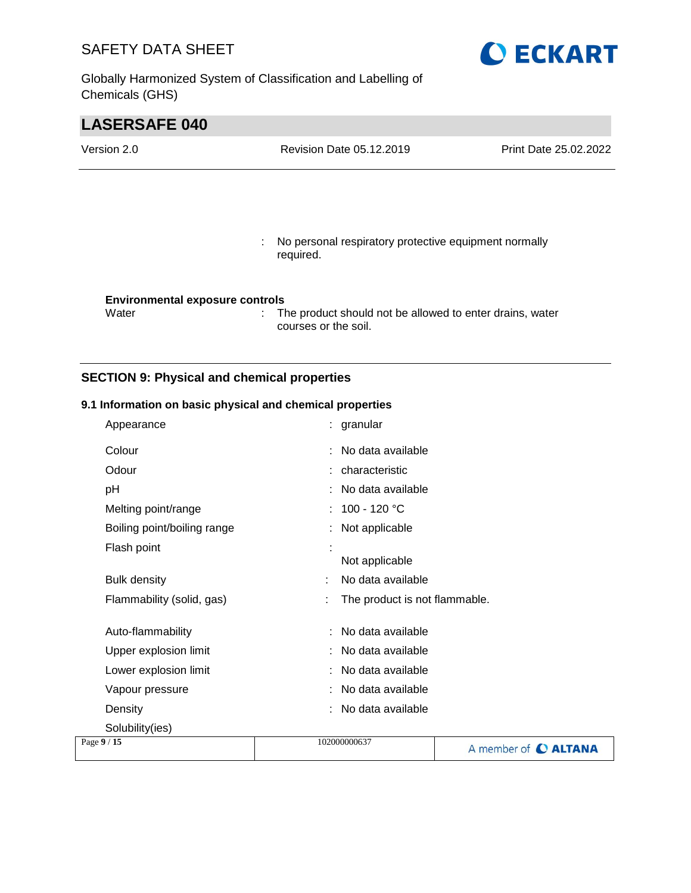Globally Harmonized System of Classification and Labelling of Chemicals (GHS)



# **LASERSAFE 040** Version 2.0 Revision Date 05.12.2019 Print Date 25.02.2022 : No personal respiratory protective equipment normally required. **Environmental exposure controls** Water : The product should not be allowed to enter drains, water courses or the soil.

#### **SECTION 9: Physical and chemical properties**

#### **9.1 Information on basic physical and chemical properties**

|             | Appearance                  |              | : granular                    |                             |
|-------------|-----------------------------|--------------|-------------------------------|-----------------------------|
|             | Colour                      |              | : No data available           |                             |
|             | Odour                       |              | : characteristic              |                             |
|             | рH                          |              | : No data available           |                             |
|             | Melting point/range         |              | : $100 - 120 °C$              |                             |
|             | Boiling point/boiling range |              | : Not applicable              |                             |
|             | Flash point                 |              | Not applicable                |                             |
|             | <b>Bulk density</b>         |              | No data available             |                             |
|             | Flammability (solid, gas)   |              | The product is not flammable. |                             |
|             | Auto-flammability           |              | : No data available           |                             |
|             | Upper explosion limit       |              | No data available             |                             |
|             | Lower explosion limit       |              | : No data available           |                             |
|             | Vapour pressure             |              | : No data available           |                             |
|             | Density                     |              | : No data available           |                             |
|             | Solubility(ies)             |              |                               |                             |
| Page 9 / 15 |                             | 102000000637 |                               | A member of <b>C ALTANA</b> |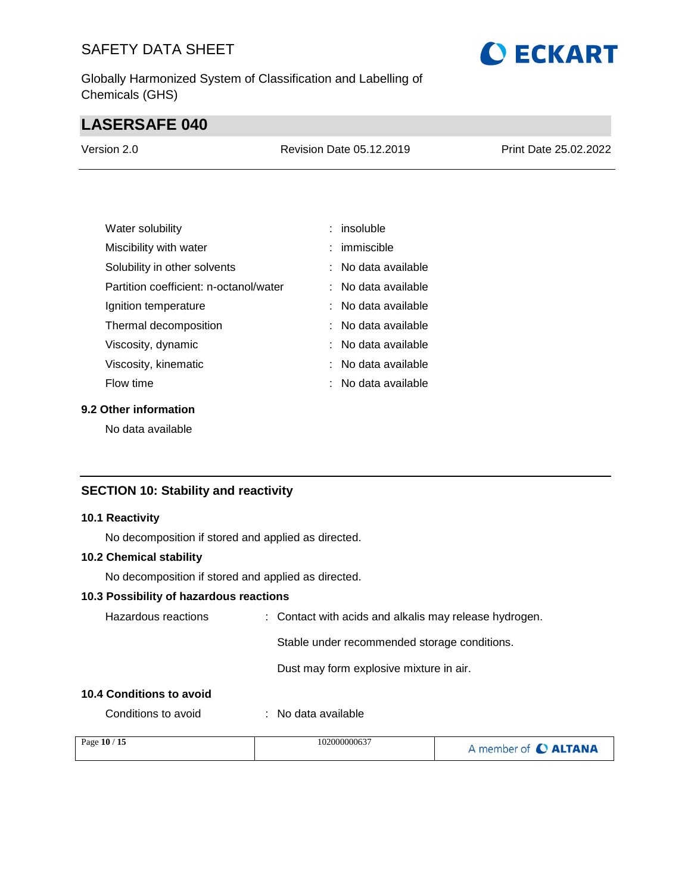Globally Harmonized System of Classification and Labelling of Chemicals (GHS)

## **LASERSAFE 040**

| Version 2.0 | <b>Revision Date 05.12.2019</b> | <b>Print Date 25.02.2022</b> |
|-------------|---------------------------------|------------------------------|
|             |                                 |                              |

| Water solubility                       | $:$ insoluble       |
|----------------------------------------|---------------------|
| Miscibility with water                 | $:$ immiscible      |
| Solubility in other solvents           | : No data available |
| Partition coefficient: n-octanol/water | ∶ No data available |
| Ignition temperature                   | : No data available |
| Thermal decomposition                  | : No data available |
| Viscosity, dynamic                     | : No data available |
| Viscosity, kinematic                   | No data available   |
| Flow time                              | No data available   |

### **9.2 Other information**

No data available

### **SECTION 10: Stability and reactivity**

#### **10.1 Reactivity**

No decomposition if stored and applied as directed.

#### **10.2 Chemical stability**

No decomposition if stored and applied as directed.

#### **10.3 Possibility of hazardous reactions**

| Hazardous reactions     | : Contact with acids and alkalis may release hydrogen. |  |
|-------------------------|--------------------------------------------------------|--|
|                         | Stable under recommended storage conditions.           |  |
|                         | Dust may form explosive mixture in air.                |  |
| 0.4 Conditions to avoid |                                                        |  |

#### **10.4 Conditions to avoid**

Conditions to avoid : No data available

| Page 10 / 15 | 102000000637 | A member of C ALTANA |
|--------------|--------------|----------------------|
|              |              |                      |

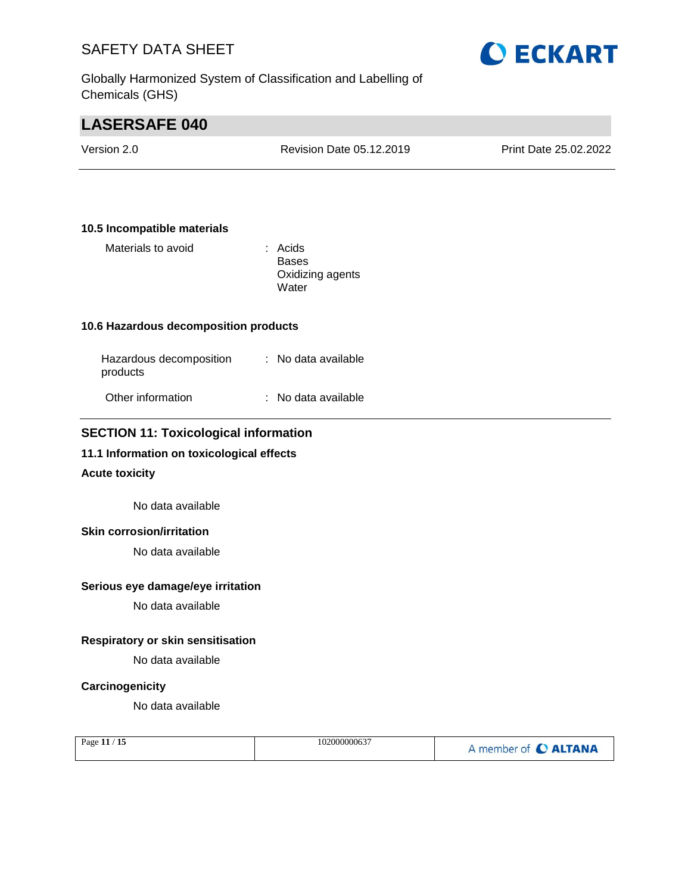Globally Harmonized System of Classification and Labelling of Chemicals (GHS)



## **LASERSAFE 040**

| Version 2.0 | Revision Date 05.12.2019 | <b>Print Date 25.02.2022</b> |
|-------------|--------------------------|------------------------------|
|             |                          |                              |

#### **10.5 Incompatible materials**

Materials to avoid **in the State of Acids** 

Bases Oxidizing agents **Water** 

#### **10.6 Hazardous decomposition products**

| Hazardous decomposition<br>products | : No data available |
|-------------------------------------|---------------------|
| Other information                   | : No data available |

#### **SECTION 11: Toxicological information**

#### **11.1 Information on toxicological effects**

#### **Acute toxicity**

No data available

#### **Skin corrosion/irritation**

No data available

#### **Serious eye damage/eye irritation**

No data available

#### **Respiratory or skin sensitisation**

No data available

#### **Carcinogenicity**

No data available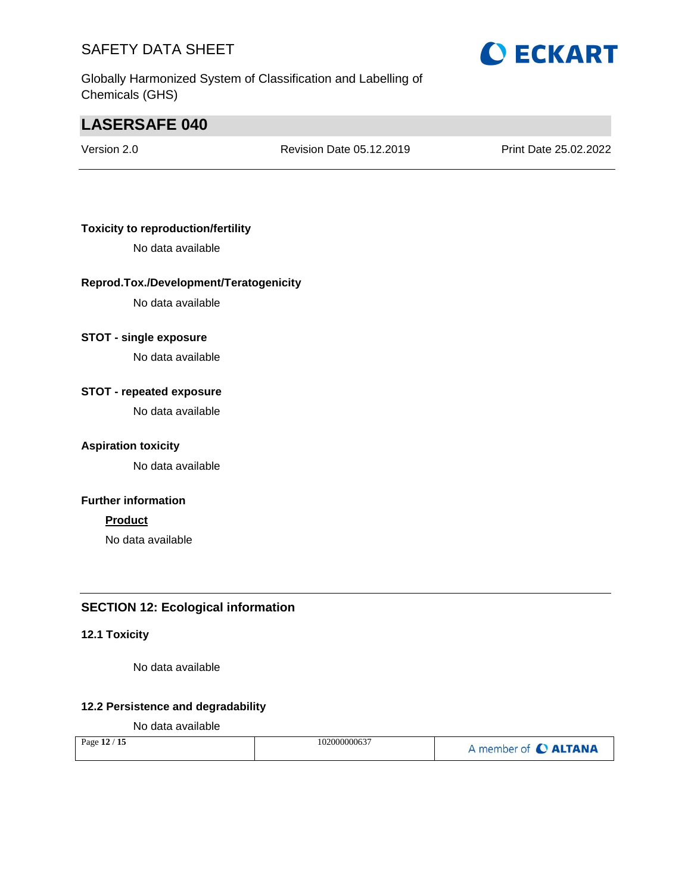Globally Harmonized System of Classification and Labelling of Chemicals (GHS)

## **LASERSAFE 040**

Version 2.0 Revision Date 05.12.2019 Print Date 25.02.2022

#### **Toxicity to reproduction/fertility**

No data available

#### **Reprod.Tox./Development/Teratogenicity**

No data available

#### **STOT - single exposure**

No data available

#### **STOT - repeated exposure**

No data available

#### **Aspiration toxicity**

No data available

#### **Further information**

#### **Product**

No data available

#### **SECTION 12: Ecological information**

#### **12.1 Toxicity**

No data available

#### **12.2 Persistence and degradability**

No data available

| Page 12 / 15 | 102000000637 | A member of C ALTANA |
|--------------|--------------|----------------------|
|--------------|--------------|----------------------|

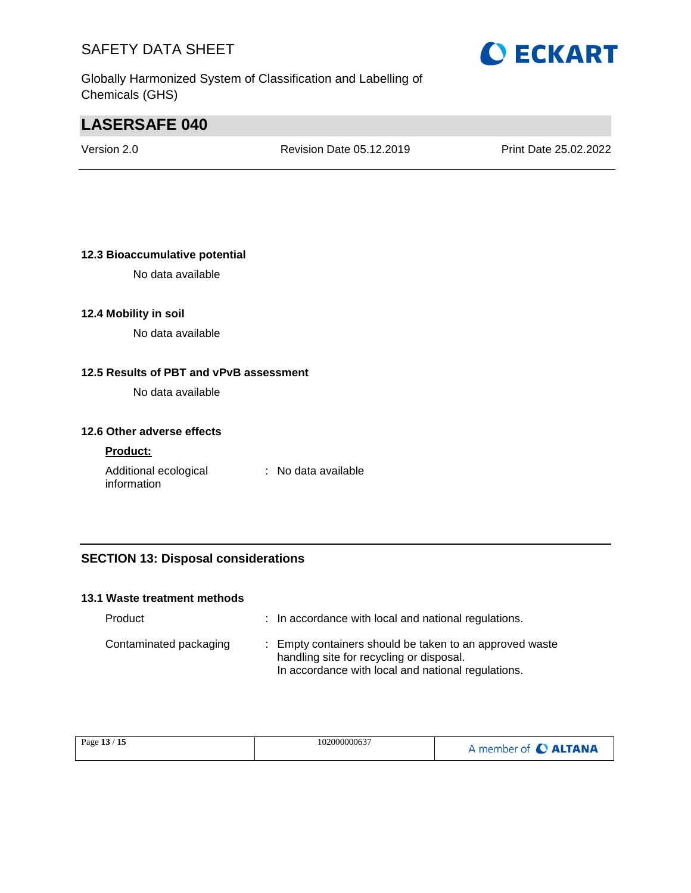Globally Harmonized System of Classification and Labelling of Chemicals (GHS)

## **LASERSAFE 040**

Version 2.0 Revision Date 05.12.2019 Print Date 25.02.2022

#### **12.3 Bioaccumulative potential**

No data available

#### **12.4 Mobility in soil**

No data available

#### **12.5 Results of PBT and vPvB assessment**

No data available

#### **12.6 Other adverse effects**

#### **Product:**

Additional ecological information : No data available

#### **SECTION 13: Disposal considerations**

#### **13.1 Waste treatment methods**

| Product                | : In accordance with local and national regulations.                                                                                                      |
|------------------------|-----------------------------------------------------------------------------------------------------------------------------------------------------------|
| Contaminated packaging | : Empty containers should be taken to an approved waste<br>handling site for recycling or disposal.<br>In accordance with local and national regulations. |

| Page 13 / 15 | 102000000637 | A member of <b>C ALTANA</b> |
|--------------|--------------|-----------------------------|
|--------------|--------------|-----------------------------|

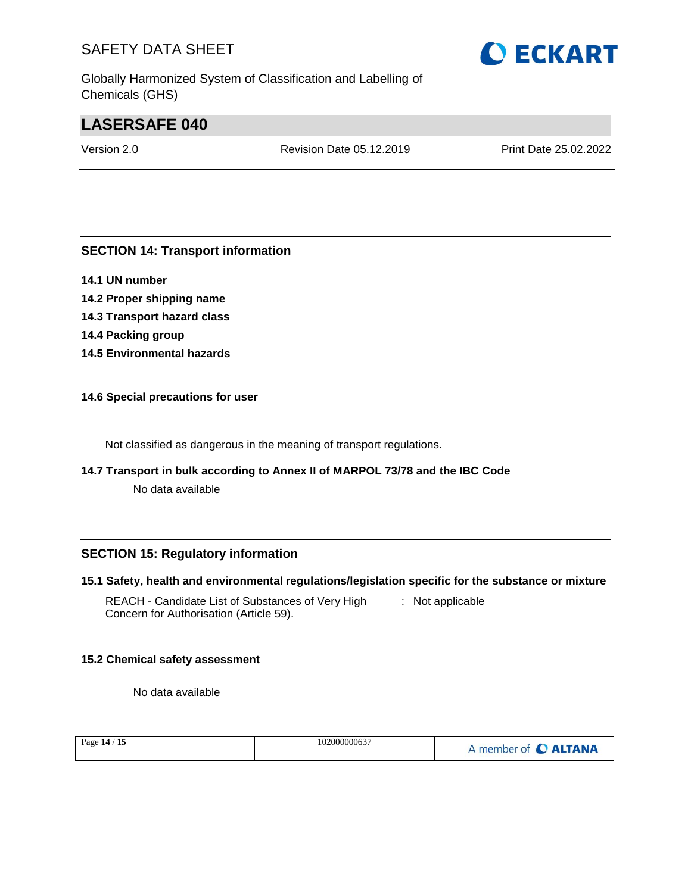Globally Harmonized System of Classification and Labelling of Chemicals (GHS)

## **LASERSAFE 040**

Version 2.0 Revision Date 05.12.2019 Print Date 25.02.2022

#### **SECTION 14: Transport information**

- **14.1 UN number**
- **14.2 Proper shipping name 14.3 Transport hazard class 14.4 Packing group 14.5 Environmental hazards**

#### **14.6 Special precautions for user**

Not classified as dangerous in the meaning of transport regulations.

**14.7 Transport in bulk according to Annex II of MARPOL 73/78 and the IBC Code**

No data available

#### **SECTION 15: Regulatory information**

#### **15.1 Safety, health and environmental regulations/legislation specific for the substance or mixture**

REACH - Candidate List of Substances of Very High Concern for Authorisation (Article 59). : Not applicable

#### **15.2 Chemical safety assessment**

No data available

| Page 14 / 15 | 102000000637 | A member of C ALTANA |
|--------------|--------------|----------------------|
|              |              |                      |